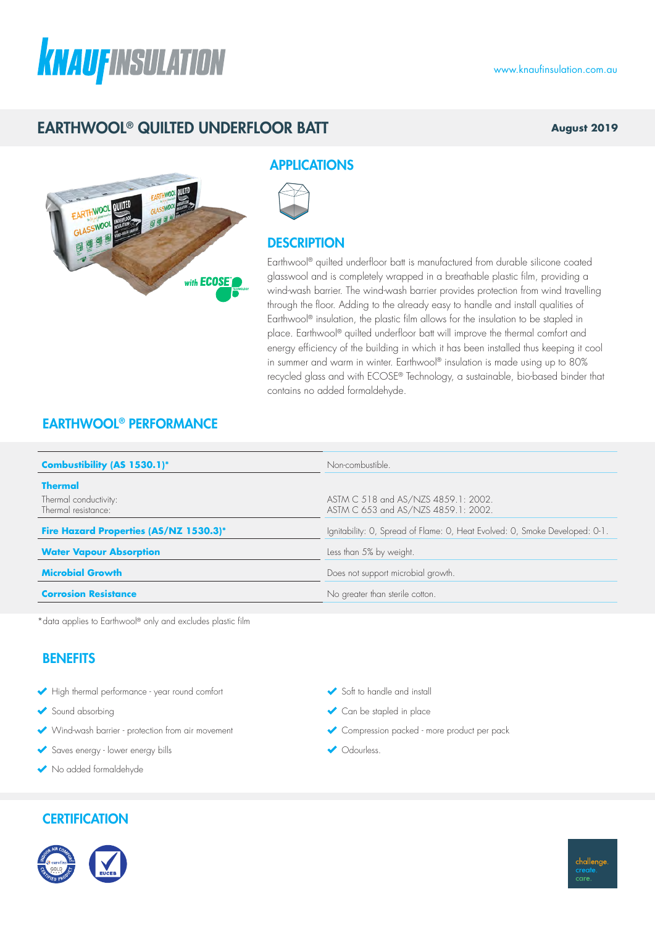# **KNAUFINSULATION**

# EARTHWOOL® QUILTED UNDERFLOOR BATT

#### **August 2019**



#### **APPLICATIONS**



### **DESCRIPTION**

Earthwool® quilted underfloor batt is manufactured from durable silicone coated glasswool and is completely wrapped in a breathable plastic film, providing a wind-wash barrier. The wind-wash barrier provides protection from wind travelling through the floor. Adding to the already easy to handle and install qualities of Earthwool® insulation, the plastic film allows for the insulation to be stapled in place. Earthwool® quilted underfloor batt will improve the thermal comfort and energy efficiency of the building in which it has been installed thus keeping it cool in summer and warm in winter. Earthwool® insulation is made using up to 80% recycled glass and with ECOSE® Technology, a sustainable, bio-based binder that contains no added formaldehyde.

## EARTHWOOL® PERFORMANCE

| Combustibility (AS 1530.1)*                  | Non-combustible.                                                            |  |  |
|----------------------------------------------|-----------------------------------------------------------------------------|--|--|
| <b>Thermal</b>                               |                                                                             |  |  |
| Thermal conductivity:<br>Thermal resistance: | ASTM C 518 and AS/NZS 4859.1: 2002.<br>ASTM C 653 and AS/NZS 4859.1: 2002.  |  |  |
| Fire Hazard Properties (AS/NZ 1530.3)*       | Ignitability: O, Spread of Flame: O, Heat Evolved: O, Smoke Developed: O-1. |  |  |
| <b>Water Vapour Absorption</b>               | Less than 5% by weight.                                                     |  |  |
| <b>Microbial Growth</b>                      | Does not support microbial growth.                                          |  |  |
| <b>Corrosion Resistance</b>                  | No greater than sterile cotton.                                             |  |  |

\*data applies to Earthwool® only and excludes plastic film

## **BENEFITS**

- High thermal performance year round comfort
- Sound absorbing
- Wind-wash barrier protection from air movement
- Saves energy lower energy bills
- No added formaldehyde

## **CERTIFICATION**



challenge care

- Soft to handle and install
- Can be stapled in place
- Compression packed more product per pack
- Odourless.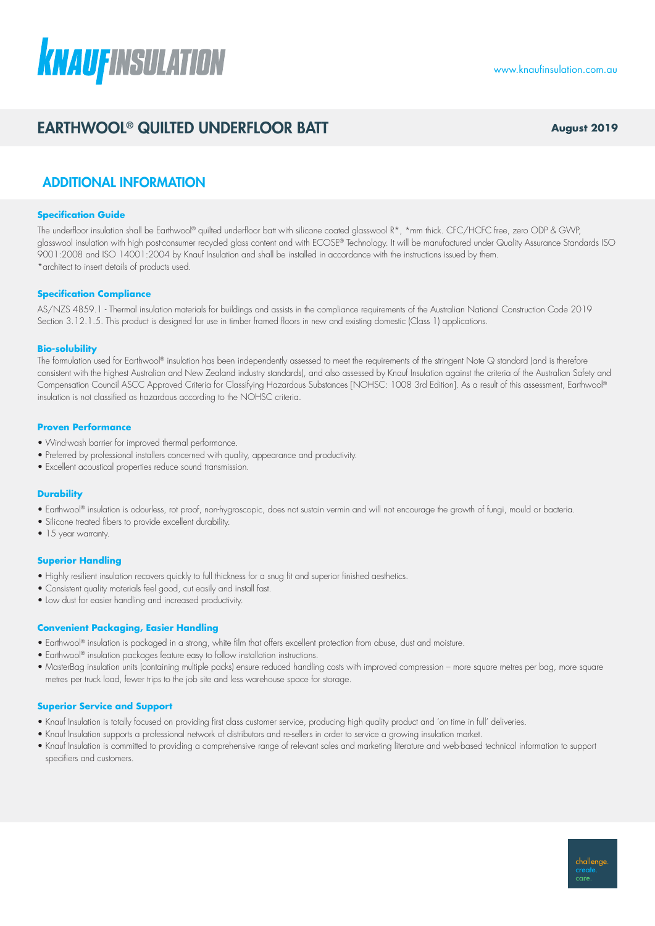# **KNAUFINSULATION**

# EARTHWOOL® QUILTED UNDERFLOOR BATT **August 2019**

## ADDITIONAL INFORMATION

#### **Specification Guide**

The underfloor insulation shall be Earthwool® quilted underfloor batt with silicone coated glasswool R\*, \*mm thick. CFC/HCFC free, zero ODP & GWP, glasswool insulation with high post-consumer recycled glass content and with ECOSE® Technology. It will be manufactured under Quality Assurance Standards ISO 9001:2008 and ISO 14001:2004 by Knauf Insulation and shall be installed in accordance with the instructions issued by them. \*architect to insert details of products used.

#### **Specification Compliance**

AS/NZS 4859.1 - Thermal insulation materials for buildings and assists in the compliance requirements of the Australian National Construction Code 2019 Section 3.12.1.5. This product is designed for use in timber framed floors in new and existing domestic (Class 1) applications.

#### **Bio-solubility**

The formulation used for Earthwool® insulation has been independently assessed to meet the requirements of the stringent Note Q standard (and is therefore consistent with the highest Australian and New Zealand industry standards), and also assessed by Knauf Insulation against the criteria of the Australian Safety and Compensation Council ASCC Approved Criteria for Classifying Hazardous Substances [NOHSC: 1008 3rd Edition]. As a result of this assessment, Earthwool® insulation is not classified as hazardous according to the NOHSC criteria.

#### **Proven Performance**

- Wind-wash barrier for improved thermal performance.
- Preferred by professional installers concerned with quality, appearance and productivity.
- Excellent acoustical properties reduce sound transmission.

#### **Durability**

- Earthwool® insulation is odourless, rot proof, non-hygroscopic, does not sustain vermin and will not encourage the growth of fungi, mould or bacteria.
- Silicone treated fibers to provide excellent durability.
- 15 year warranty.

#### **Superior Handling**

- Highly resilient insulation recovers quickly to full thickness for a snug fit and superior finished aesthetics.
- Consistent quality materials feel good, cut easily and install fast.
- Low dust for easier handling and increased productivity.

#### **Convenient Packaging, Easier Handling**

- Earthwool® insulation is packaged in a strong, white film that offers excellent protection from abuse, dust and moisture.
- Earthwool® insulation packages feature easy to follow installation instructions.
- MasterBag insulation units (containing multiple packs) ensure reduced handling costs with improved compression more square metres per bag, more square metres per truck load, fewer trips to the job site and less warehouse space for storage.

#### **Superior Service and Support**

- Knauf Insulation is totally focused on providing first class customer service, producing high quality product and 'on time in full' deliveries.
- Knauf Insulation supports a professional network of distributors and re-sellers in order to service a growing insulation market.
- Knauf Insulation is committed to providing a comprehensive range of relevant sales and marketing literature and web-based technical information to support specifiers and customers.